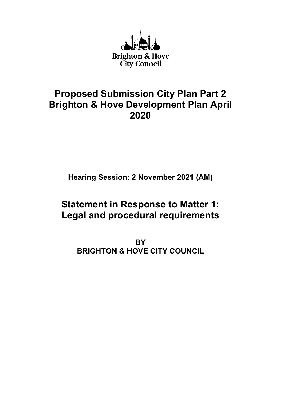

# Proposed Submission City Plan Part 2 Brighton & Hove Development Plan April 2020

Hearing Session: 2 November 2021 (AM)

# Statement in Response to Matter 1: Legal and procedural requirements

**BY** BRIGHTON & HOVE CITY COUNCIL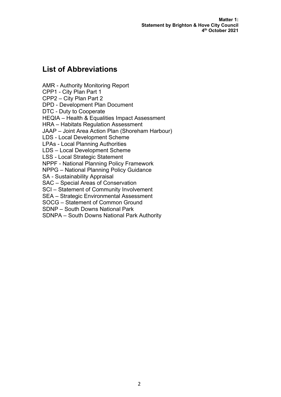Matter 1: Statement by Brighton & Hove City Council 4 th October 2021

# List of Abbreviations

AMR - Authority Monitoring Report CPP1 - City Plan Part 1 CPP2 – City Plan Part 2 DPD - Development Plan Document DTC - Duty to Cooperate HEQIA – Health & Equalities Impact Assessment HRA – Habitats Regulation Assessment JAAP – Joint Area Action Plan (Shoreham Harbour) LDS - Local Development Scheme LPAs - Local Planning Authorities LDS – Local Development Scheme LSS - Local Strategic Statement NPPF - National Planning Policy Framework NPPG – National Planning Policy Guidance SA - Sustainability Appraisal SAC – Special Areas of Conservation SCI – Statement of Community Involvement SEA – Strategic Environmental Assessment

SOCG – Statement of Common Ground

SDNP – South Downs National Park

SDNPA – South Downs National Park Authority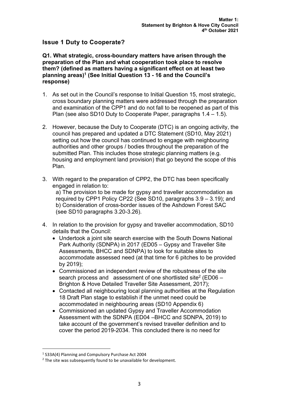# Issue 1 Duty to Cooperate?

Q1. What strategic, cross-boundary matters have arisen through the preparation of the Plan and what cooperation took place to resolve them? (defined as matters having a significant effect on at least two planning areas)<sup>1</sup> (See Initial Question 13 - 16 and the Council's response)

- 1. As set out in the Council's response to Initial Question 15, most strategic, cross boundary planning matters were addressed through the preparation and examination of the CPP1 and do not fall to be reopened as part of this Plan (see also SD10 Duty to Cooperate Paper, paragraphs 1.4 – 1.5).
- 2. However, because the Duty to Cooperate (DTC) is an ongoing activity, the council has prepared and updated a DTC Statement (SD10, May 2021) setting out how the council has continued to engage with neighbouring authorities and other groups / bodies throughout the preparation of the submitted Plan. This includes those strategic planning matters (e.g. housing and employment land provision) that go beyond the scope of this Plan.
- 3. With regard to the preparation of CPP2, the DTC has been specifically engaged in relation to: a) The provision to be made for gypsy and traveller accommodation as required by CPP1 Policy CP22 (See SD10, paragraphs 3.9 – 3.19); and b) Consideration of cross-border issues of the Ashdown Forest SAC (see SD10 paragraphs 3.20-3.26).
- 4. In relation to the provision for gypsy and traveller accommodation, SD10 details that the Council:
	- Undertook a joint site search exercise with the South Downs National Park Authority (SDNPA) in 2017 (ED05 – Gypsy and Traveller Site Assessments, BHCC and SDNPA) to look for suitable sites to accommodate assessed need (at that time for 6 pitches to be provided by 2019);
	- Commissioned an independent review of the robustness of the site search process and assessment of one shortlisted site<sup>2</sup> (ED06  $-$ Brighton & Hove Detailed Traveller Site Assessment, 2017);
	- Contacted all neighbouring local planning authorities at the Regulation 18 Draft Plan stage to establish if the unmet need could be accommodated in neighbouring areas (SD10 Appendix 6)
	- Commissioned an updated Gypsy and Traveller Accommodation Assessment with the SDNPA (ED04 –BHCC and SDNPA, 2019) to take account of the government's revised traveller definition and to cover the period 2019-2034. This concluded there is no need for

<sup>1</sup> S33A(4) Planning and Compulsory Purchase Act 2004

 $2$  The site was subsequently found to be unavailable for development.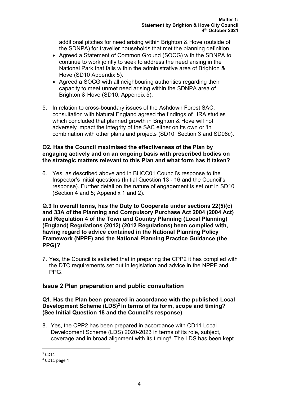additional pitches for need arising within Brighton & Hove (outside of the SDNPA) for traveller households that met the planning definition.

- Agreed a Statement of Common Ground (SOCG) with the SDNPA to continue to work jointly to seek to address the need arising in the National Park that falls within the administrative area of Brighton & Hove (SD10 Appendix 5).
- Agreed a SOCG with all neighbouring authorities regarding their capacity to meet unmet need arising within the SDNPA area of Brighton & Hove (SD10, Appendix 5).
- 5. In relation to cross-boundary issues of the Ashdown Forest SAC, consultation with Natural England agreed the findings of HRA studies which concluded that planned growth in Brighton & Hove will not adversely impact the integrity of the SAC either on its own or 'in combination with other plans and projects (SD10, Section 3 and SD08c).

#### Q2. Has the Council maximised the effectiveness of the Plan by engaging actively and on an ongoing basis with prescribed bodies on the strategic matters relevant to this Plan and what form has it taken?

6. Yes, as described above and in BHCC01 Council's response to the Inspector's initial questions (Initial Question 13 - 16 and the Council's response). Further detail on the nature of engagement is set out in SD10 (Section 4 and 5; Appendix 1 and 2).

Q.3 In overall terms, has the Duty to Cooperate under sections 22(5)(c) and 33A of the Planning and Compulsory Purchase Act 2004 (2004 Act) and Regulation 4 of the Town and Country Planning (Local Planning) (England) Regulations (2012) (2012 Regulations) been complied with, having regard to advice contained in the National Planning Policy Framework (NPPF) and the National Planning Practice Guidance (the PPG)?

7. Yes, the Council is satisfied that in preparing the CPP2 it has complied with the DTC requirements set out in legislation and advice in the NPPF and PPG.

## Issue 2 Plan preparation and public consultation

#### Q1. Has the Plan been prepared in accordance with the published Local Development Scheme (LDS)<sup>3</sup> in terms of its form, scope and timing? (See Initial Question 18 and the Council's response)

8. Yes, the CPP2 has been prepared in accordance with CD11 Local Development Scheme (LDS) 2020-2023 in terms of its role, subject, coverage and in broad alignment with its timing<sup>4</sup>. The LDS has been kept

 $3$  CD11

<sup>4</sup> CD11 page 4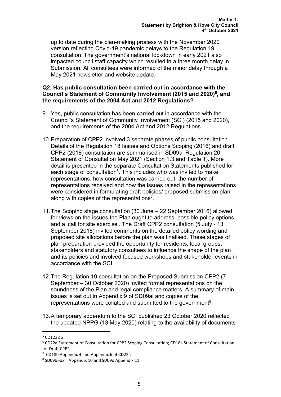up to date during the plan-making process with the November 2020 version reflecting Covid-19 pandemic delays to the Regulation 19 consultation. The government's national lockdown in early 2021 also impacted council staff capacity which resulted in a three month delay in Submission. All consultees were informed of the minor delay through a May 2021 newsletter and website update.

#### Q2. Has public consultation been carried out in accordance with the Council's Statement of Community Involvement (2015 and 2020)<sup>5</sup>, and the requirements of the 2004 Act and 2012 Regulations?

- 9. Yes, public consultation has been carried out in accordance with the Council's Statement of Community Involvement (SCI) (2015 and 2020), and the requirements of the 2004 Act and 2012 Regulations.
- 10. Preparation of CPP2 involved 3 separate phases of public consultation. Details of the Regulation 18 Issues and Options Scoping (2016) and draft CPP2 (2018) consultation are summarised in SD09ai Regulation 20 Statement of Consultation May 2021 (Section 1.3 and Table 1). More detail is presented in the separate Consultation Statements published for each stage of consultation<sup>6</sup>. This includes who was invited to make representations, how consultation was carried out, the number of representations received and how the issues raised in the representations were considered in formulating draft policies/ proposed submission plan along with copies of the representations<sup>7</sup>.
- 11. The Scoping stage consultation (30 June 22 September 2016) allowed for views on the issues the Plan ought to address, possible policy options and a 'call for site exercise'. The Draft CPP2 consultation (5 July - 13 September 2018) invited comments on the detailed policy wording and proposed site allocations before the plan was finalised. These stages of plan preparation provided the opportunity for residents, local groups, stakeholders and statutory consultees to influence the shape of the plan and its policies and involved focused workshops and stakeholder events in accordance with the SCI.
- 12. The Regulation 19 consultation on the Proposed Submission CPP2 (7 September – 30 October 2020) invited formal representations on the soundness of the Plan and legal compliance matters. A summary of main issues is set out in Appendix 9 of SD09ai and copies of the representations were collated and submitted to the government<sup>8</sup>.
- 13. A temporary addendum to the SCI published 23 October 2020 reflected the updated NPPG (13 May 2020) relating to the availability of documents

 $5$  CD12a&b

<sup>6</sup> CD22a Statement of Consultation for CPP2 Scoping Consultation; CD18a Statement of Consultation for Draft CPP2.

<sup>7</sup> CD18b Appendix 4 and Appendix 6 of CD22a

<sup>8</sup> SD09bi-bxiii Appendix 10 and SD09d Appendix 11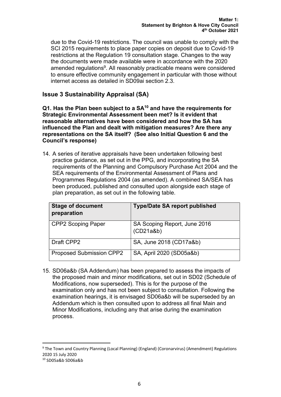due to the Covid-19 restrictions. The council was unable to comply with the SCI 2015 requirements to place paper copies on deposit due to Covid-19 restrictions at the Regulation 19 consultation stage. Changes to the way the documents were made available were in accordance with the 2020 amended regulations $^9$ . All reasonably practicable means were considered to ensure effective community engagement in particular with those without internet access as detailed in SD09ai section 2.3.

# Issue 3 Sustainability Appraisal (SA)

 $Q1$ . Has the Plan been subject to a  $SA^{10}$  and have the requirements for Strategic Environmental Assessment been met? Is it evident that reasonable alternatives have been considered and how the SA has influenced the Plan and dealt with mitigation measures? Are there any representations on the SA itself? (See also Initial Question 6 and the Council's response)

14. A series of iterative appraisals have been undertaken following best practice guidance, as set out in the PPG, and incorporating the SA requirements of the Planning and Compulsory Purchase Act 2004 and the SEA requirements of the Environmental Assessment of Plans and Programmes Regulations 2004 (as amended). A combined SA/SEA has been produced, published and consulted upon alongside each stage of plan preparation, as set out in the following table.

| <b>Stage of document</b><br>preparation | <b>Type/Date SA report published</b>      |
|-----------------------------------------|-------------------------------------------|
| <b>CPP2 Scoping Paper</b>               | SA Scoping Report, June 2016<br>(CD21a&b) |
| Draft CPP2                              | SA, June 2018 (CD17a&b)                   |
| <b>Proposed Submission CPP2</b>         | SA, April 2020 (SD05a&b)                  |

15. SD06a&b (SA Addendum) has been prepared to assess the impacts of the proposed main and minor modifications, set out in SD02 (Schedule of Modifications, now superseded). This is for the purpose of the examination only and has not been subject to consultation. Following the examination hearings, it is envisaged SD06a&b will be superseded by an Addendum which is then consulted upon to address all final Main and Minor Modifications, including any that arise during the examination process.

<sup>&</sup>lt;sup>9</sup> The Town and Country Planning (Local Planning) (England) (Coronarvirus) (Amendment) Regulations 2020 15 July 2020

<sup>10</sup> SD05a&b SD06a&b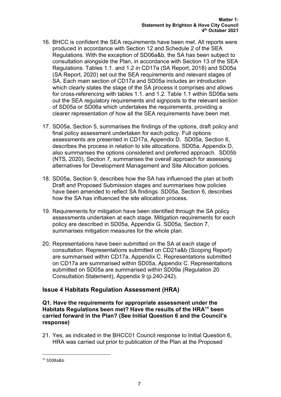- 16. BHCC is confident the SEA requirements have been met. All reports were produced in accordance with Section 12 and Schedule 2 of the SEA Regulations. With the exception of SD06a&b, the SA has been subject to consultation alongside the Plan, in accordance with Section 13 of the SEA Regulations. Tables 1.1. and 1.2 in CD17a (SA Report, 2018) and SD05a (SA Report, 2020) set out the SEA requirements and relevant stages of SA. Each main section of CD17a and SD05a includes an introduction which clearly states the stage of the SA process it comprises and allows for cross-referencing with tables 1.1. and 1.2. Table 1.1 within SD06a sets out the SEA regulatory requirements and signposts to the relevant section of SD05a or SD06a which undertakes the requirements, providing a clearer representation of how all the SEA requirements have been met.
- 17. SD05a, Section 5, summarises the findings of the options, draft policy and final policy assessment undertaken for each policy. Full options assessments are presented in CD17a, Appendix D. SD05a, Section 6, describes the process in relation to site allocations. SD05a, Appendix D, also summarises the options considered and preferred approach. SD05b (NTS, 2020), Section 7, summarises the overall approach for assessing alternatives for Development Management and Site Allocation policies.
- 18. SD05a, Section 9, describes how the SA has influenced the plan at both Draft and Proposed Submission stages and summarises how policies have been amended to reflect SA findings. SD05a, Section 6, describes how the SA has influenced the site allocation process.
- 19. Requirements for mitigation have been identified through the SA policy assessments undertaken at each stage. Mitigation requirements for each policy are described in SD05a, Appendix G. SD05a, Section 7, summarises mitigation measures for the whole plan.
- 20. Representations have been submitted on the SA at each stage of consultation. Representations submitted on CD21a&b (Scoping Report) are summarised within CD17a, Appendix C. Representations submitted on CD17a are summarised within SD05a, Appendix C. Representations submitted on SD05a are summarised within SD09a (Regulation 20 Consultation Statement), Appendix 9 (p.240-242).

## Issue 4 Habitats Regulation Assessment (HRA)

#### Q1. Have the requirements for appropriate assessment under the Habitats Regulations been met? Have the results of the HRA<sup>11</sup> been carried forward in the Plan? (See Initial Question 6 and the Council's response)

21. Yes, as indicated in the BHCC01 Council response to Initial Question 6, HRA was carried out prior to publication of the Plan at the Proposed

 $11$  SD08a&b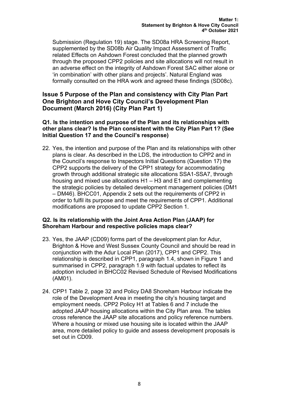Submission (Regulation 19) stage. The SD08a HRA Screening Report, supplemented by the SD08b Air Quality Impact Assessment of Traffic related Effects on Ashdown Forest concluded that the planned growth through the proposed CPP2 policies and site allocations will not result in an adverse effect on the integrity of Ashdown Forest SAC either alone or 'in combination' with other plans and projects'. Natural England was formally consulted on the HRA work and agreed these findings (SD08c).

# Issue 5 Purpose of the Plan and consistency with City Plan Part One Brighton and Hove City Council's Development Plan Document (March 2016) (City Plan Part 1)

#### Q1. Is the intention and purpose of the Plan and its relationships with other plans clear? Is the Plan consistent with the City Plan Part 1? (See Initial Question 17 and the Council's response)

22. Yes, the intention and purpose of the Plan and its relationships with other plans is clear. As described in the LDS, the introduction to CPP2 and in the Council's response to Inspectors Initial Questions (Question 17) the CPP2 supports the delivery of the CPP1 strategy for accommodating growth through additional strategic site allocations SSA1-SSA7, through housing and mixed use allocations H1 – H3 and E1 and complementing the strategic policies by detailed development management policies (DM1 – DM46). BHCC01, Appendix 2 sets out the requirements of CPP2 in order to fulfil its purpose and meet the requirements of CPP1. Additional modifications are proposed to update CPP2 Section 1.

#### Q2. Is its relationship with the Joint Area Action Plan (JAAP) for Shoreham Harbour and respective policies maps clear?

- 23. Yes, the JAAP (CD09) forms part of the development plan for Adur, Brighton & Hove and West Sussex County Council and should be read in conjunction with the Adur Local Plan (2017), CPP1 and CPP2. This relationship is described in CPP1, paragraph 1.4, shown in Figure 1 and summarised in CPP2, paragraph 1.9 with factual updates to reflect its adoption included in BHCC02 Revised Schedule of Revised Modifications (AM01).
- 24. CPP1 Table 2, page 32 and Policy DA8 Shoreham Harbour indicate the role of the Development Area in meeting the city's housing target and employment needs. CPP2 Policy H1 at Tables 6 and 7 include the adopted JAAP housing allocations within the City Plan area. The tables cross reference the JAAP site allocations and policy reference numbers. Where a housing or mixed use housing site is located within the JAAP area, more detailed policy to guide and assess development proposals is set out in CD09.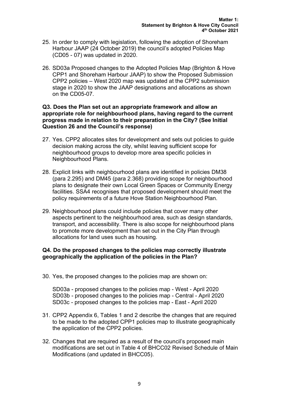- 25. In order to comply with legislation, following the adoption of Shoreham Harbour JAAP (24 October 2019) the council's adopted Policies Map (CD05 - 07) was updated in 2020.
- 26. SD03a Proposed changes to the Adopted Policies Map (Brighton & Hove CPP1 and Shoreham Harbour JAAP) to show the Proposed Submission CPP2 policies – West 2020 map was updated at the CPP2 submission stage in 2020 to show the JAAP designations and allocations as shown on the CD05-07.

#### Q3. Does the Plan set out an appropriate framework and allow an appropriate role for neighbourhood plans, having regard to the current progress made in relation to their preparation in the City? (See Initial Question 26 and the Council's response)

- 27. Yes. CPP2 allocates sites for development and sets out policies to guide decision making across the city, whilst leaving sufficient scope for neighbourhood groups to develop more area specific policies in Neighbourhood Plans.
- 28. Explicit links with neighbourhood plans are identified in policies DM38 (para 2.295) and DM45 (para 2.368) providing scope for neighbourhood plans to designate their own Local Green Spaces or Community Energy facilities. SSA4 recognises that proposed development should meet the policy requirements of a future Hove Station Neighbourhood Plan.
- 29. Neighbourhood plans could include policies that cover many other aspects pertinent to the neighbourhood area, such as design standards, transport, and accessibility. There is also scope for neighbourhood plans to promote more development than set out in the City Plan through allocations for land uses such as housing.

#### Q4. Do the proposed changes to the policies map correctly illustrate geographically the application of the policies in the Plan?

30. Yes, the proposed changes to the policies map are shown on:

SD03a - proposed changes to the policies map - West - April 2020 SD03b - proposed changes to the policies map - Central - April 2020 SD03c - proposed changes to the policies map - East - April 2020

- 31. CPP2 Appendix 6, Tables 1 and 2 describe the changes that are required to be made to the adopted CPP1 policies map to illustrate geographically the application of the CPP2 policies.
- 32. Changes that are required as a result of the council's proposed main modifications are set out in Table 4 of BHCC02 Revised Schedule of Main Modifications (and updated in BHCC05).